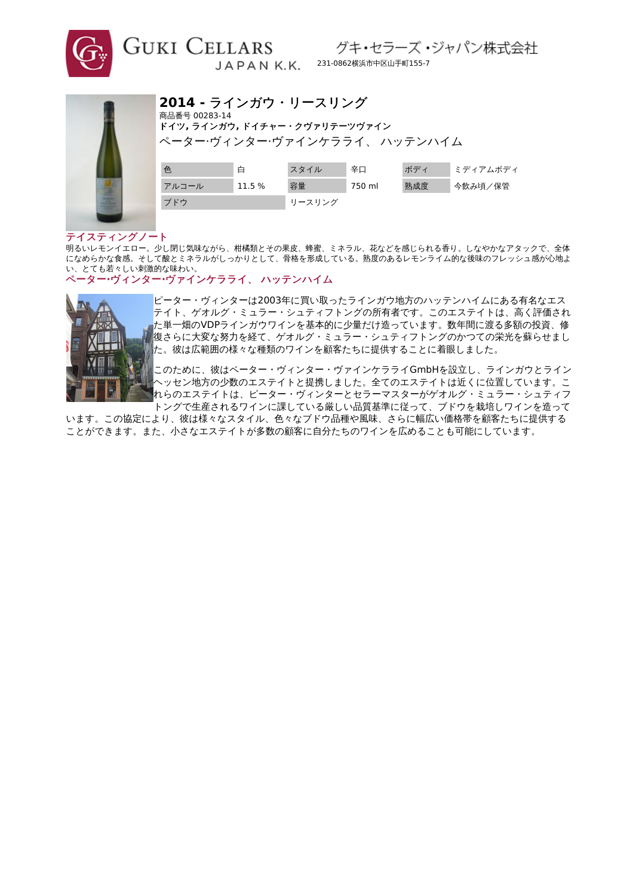グキ・セラーズ・ジャパン株式会社

231-0862横浜市中区山手町155-7 JAPANK.K.





| 2014 - ラインガウ・リースリング           |  |
|-------------------------------|--|
| 商品番号 00283-14                 |  |
| ドイツ, ラインガウ, ドイチャー・クヴァリテーツヴァイン |  |
| ペーター ヴィンター ヴァインケラライ、 ハッテンハイム  |  |
|                               |  |



#### テイスティングノート

明るいレモンイエロー。少し閉じ気味ながら、柑橘類とその果皮、蜂蜜、ミネラル、花などを感じられる香り。しなやかなアタックで、全体 になめらかな食感。そして酸とミネラルがしっかりとして、骨格を形成している。熟度のあるレモンライム的な後味のフレッシュ感が心地よ い、とても若々しい刺激的な味わい。

ペーター**·**ヴィンター**·**ヴァインケラライ、 ハッテンハイム

Guki Cellars



ピーター・ヴィンターは2003年に買い取ったラインガウ地方のハッテンハイムにある有名なエス テイト、ゲオルグ・ミュラー・シュティフトングの所有者です。このエステイトは、高く評価され た単一畑のVDPラインガウワインを基本的に少量だけ造っています。数年間に渡る多額の投資、修 復さらに大変な努力を経て、ゲオルグ・ミュラー・シュティフトングのかつての栄光を蘇らせまし た。彼は広範囲の様々な種類のワインを顧客たちに提供することに着眼しました。

このために、彼はペーター・ヴィンター・ヴァインケラライGmbHを設立し、ラインガウとライン ヘッセン地方の少数のエステイトと提携しました。全てのエステイトは近くに位置しています。こ れらのエステイトは、ピーター・ヴィンターとセラーマスターがゲオルグ・ミュラー・シュティフ トングで生産されるワインに課している厳しい品質基準に従って、ブドウを栽培しワインを造って

います。この協定により、彼は様々なスタイル、色々なブドウ品種や風味、さらに幅広い価格帯を顧客たちに提供する ことができます。また、小さなエステイトが多数の顧客に自分たちのワインを広めることも可能にしています。